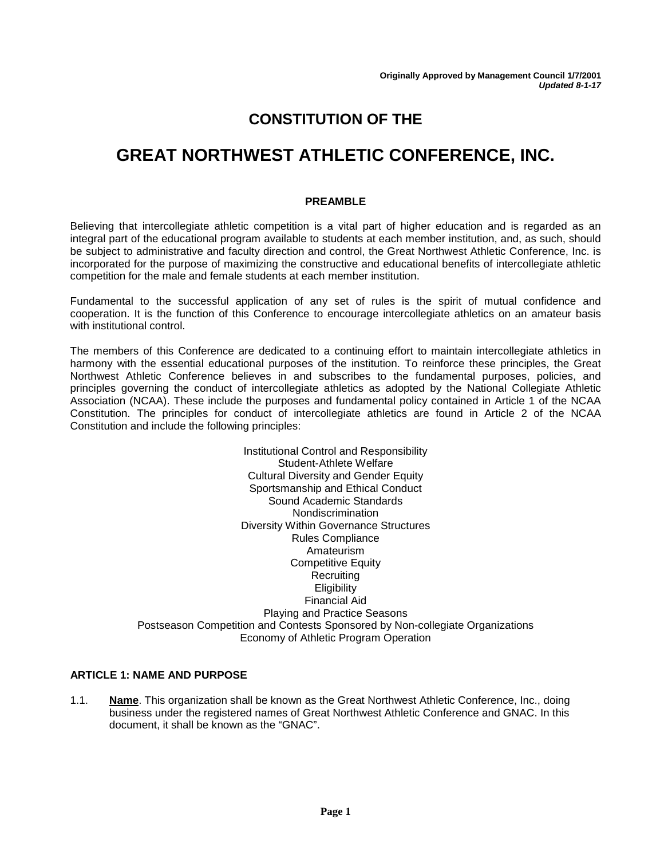## **CONSTITUTION OF THE**

# **GREAT NORTHWEST ATHLETIC CONFERENCE, INC.**

#### **PREAMBLE**

Believing that intercollegiate athletic competition is a vital part of higher education and is regarded as an integral part of the educational program available to students at each member institution, and, as such, should be subject to administrative and faculty direction and control, the Great Northwest Athletic Conference, Inc. is incorporated for the purpose of maximizing the constructive and educational benefits of intercollegiate athletic competition for the male and female students at each member institution.

Fundamental to the successful application of any set of rules is the spirit of mutual confidence and cooperation. It is the function of this Conference to encourage intercollegiate athletics on an amateur basis with institutional control.

The members of this Conference are dedicated to a continuing effort to maintain intercollegiate athletics in harmony with the essential educational purposes of the institution. To reinforce these principles, the Great Northwest Athletic Conference believes in and subscribes to the fundamental purposes, policies, and principles governing the conduct of intercollegiate athletics as adopted by the National Collegiate Athletic Association (NCAA). These include the purposes and fundamental policy contained in Article 1 of the NCAA Constitution. The principles for conduct of intercollegiate athletics are found in Article 2 of the NCAA Constitution and include the following principles:

> Institutional Control and Responsibility Student-Athlete Welfare Cultural Diversity and Gender Equity Sportsmanship and Ethical Conduct Sound Academic Standards Nondiscrimination Diversity Within Governance Structures Rules Compliance Amateurism Competitive Equity **Recruiting Eligibility** Financial Aid Playing and Practice Seasons Postseason Competition and Contests Sponsored by Non-collegiate Organizations Economy of Athletic Program Operation

#### **ARTICLE 1: NAME AND PURPOSE**

1.1. **Name**. This organization shall be known as the Great Northwest Athletic Conference, Inc., doing business under the registered names of Great Northwest Athletic Conference and GNAC. In this document, it shall be known as the "GNAC".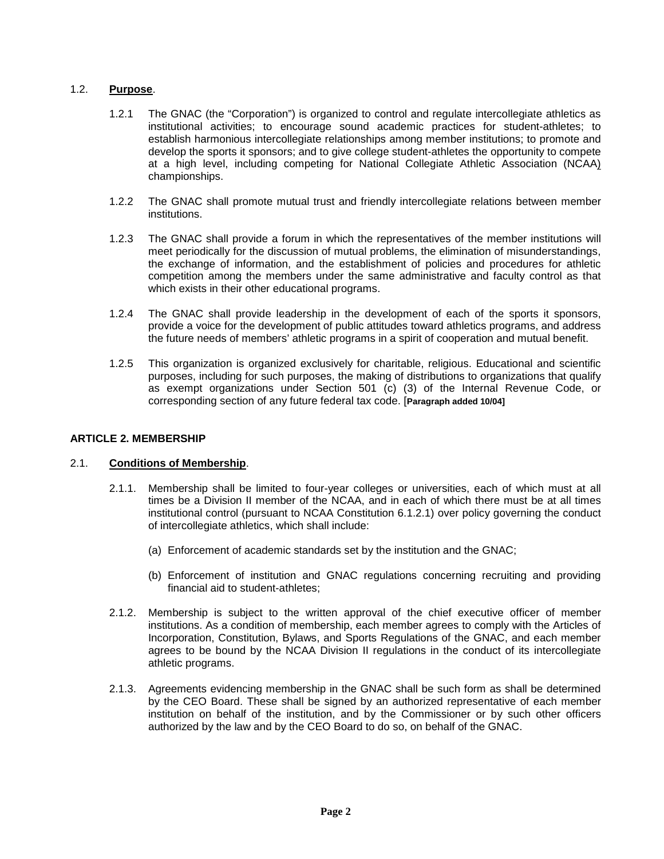## 1.2. **Purpose**.

- 1.2.1 The GNAC (the "Corporation") is organized to control and regulate intercollegiate athletics as institutional activities; to encourage sound academic practices for student-athletes; to establish harmonious intercollegiate relationships among member institutions; to promote and develop the sports it sponsors; and to give college student-athletes the opportunity to compete at a high level, including competing for National Collegiate Athletic Association (NCAA) championships.
- 1.2.2 The GNAC shall promote mutual trust and friendly intercollegiate relations between member institutions.
- 1.2.3 The GNAC shall provide a forum in which the representatives of the member institutions will meet periodically for the discussion of mutual problems, the elimination of misunderstandings, the exchange of information, and the establishment of policies and procedures for athletic competition among the members under the same administrative and faculty control as that which exists in their other educational programs.
- 1.2.4 The GNAC shall provide leadership in the development of each of the sports it sponsors, provide a voice for the development of public attitudes toward athletics programs, and address the future needs of members' athletic programs in a spirit of cooperation and mutual benefit.
- 1.2.5 This organization is organized exclusively for charitable, religious. Educational and scientific purposes, including for such purposes, the making of distributions to organizations that qualify as exempt organizations under Section 501 (c) (3) of the Internal Revenue Code, or corresponding section of any future federal tax code. [**Paragraph added 10/04]**

#### **ARTICLE 2. MEMBERSHIP**

#### 2.1. **Conditions of Membership**.

- 2.1.1. Membership shall be limited to four-year colleges or universities, each of which must at all times be a Division II member of the NCAA, and in each of which there must be at all times institutional control (pursuant to NCAA Constitution 6.1.2.1) over policy governing the conduct of intercollegiate athletics, which shall include:
	- (a) Enforcement of academic standards set by the institution and the GNAC;
	- (b) Enforcement of institution and GNAC regulations concerning recruiting and providing financial aid to student-athletes;
- 2.1.2. Membership is subject to the written approval of the chief executive officer of member institutions. As a condition of membership, each member agrees to comply with the Articles of Incorporation, Constitution, Bylaws, and Sports Regulations of the GNAC, and each member agrees to be bound by the NCAA Division II regulations in the conduct of its intercollegiate athletic programs.
- 2.1.3. Agreements evidencing membership in the GNAC shall be such form as shall be determined by the CEO Board. These shall be signed by an authorized representative of each member institution on behalf of the institution, and by the Commissioner or by such other officers authorized by the law and by the CEO Board to do so, on behalf of the GNAC.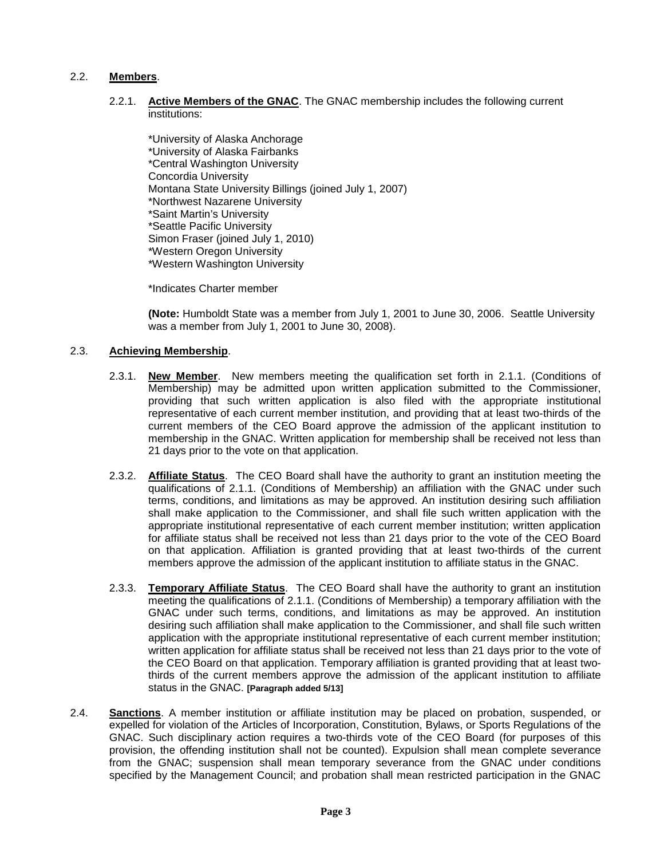## 2.2. **Members**.

2.2.1. **Active Members of the GNAC**. The GNAC membership includes the following current institutions:

\*University of Alaska Anchorage \*University of Alaska Fairbanks \*Central Washington University Concordia University Montana State University Billings (joined July 1, 2007) \*Northwest Nazarene University \*Saint Martin's University \*Seattle Pacific University Simon Fraser (joined July 1, 2010) \*Western Oregon University \*Western Washington University

\*Indicates Charter member

**(Note:** Humboldt State was a member from July 1, 2001 to June 30, 2006. Seattle University was a member from July 1, 2001 to June 30, 2008).

## 2.3. **Achieving Membership**.

- 2.3.1. **New Member**. New members meeting the qualification set forth in 2.1.1. (Conditions of Membership) may be admitted upon written application submitted to the Commissioner, providing that such written application is also filed with the appropriate institutional representative of each current member institution, and providing that at least two-thirds of the current members of the CEO Board approve the admission of the applicant institution to membership in the GNAC. Written application for membership shall be received not less than 21 days prior to the vote on that application.
- 2.3.2. **Affiliate Status**. The CEO Board shall have the authority to grant an institution meeting the qualifications of 2.1.1. (Conditions of Membership) an affiliation with the GNAC under such terms, conditions, and limitations as may be approved. An institution desiring such affiliation shall make application to the Commissioner, and shall file such written application with the appropriate institutional representative of each current member institution; written application for affiliate status shall be received not less than 21 days prior to the vote of the CEO Board on that application. Affiliation is granted providing that at least two-thirds of the current members approve the admission of the applicant institution to affiliate status in the GNAC.
- 2.3.3. **Temporary Affiliate Status**. The CEO Board shall have the authority to grant an institution meeting the qualifications of 2.1.1. (Conditions of Membership) a temporary affiliation with the GNAC under such terms, conditions, and limitations as may be approved. An institution desiring such affiliation shall make application to the Commissioner, and shall file such written application with the appropriate institutional representative of each current member institution; written application for affiliate status shall be received not less than 21 days prior to the vote of the CEO Board on that application. Temporary affiliation is granted providing that at least twothirds of the current members approve the admission of the applicant institution to affiliate status in the GNAC. **[Paragraph added 5/13]**
- 2.4. **Sanctions**. A member institution or affiliate institution may be placed on probation, suspended, or expelled for violation of the Articles of Incorporation, Constitution, Bylaws, or Sports Regulations of the GNAC. Such disciplinary action requires a two-thirds vote of the CEO Board (for purposes of this provision, the offending institution shall not be counted). Expulsion shall mean complete severance from the GNAC; suspension shall mean temporary severance from the GNAC under conditions specified by the Management Council; and probation shall mean restricted participation in the GNAC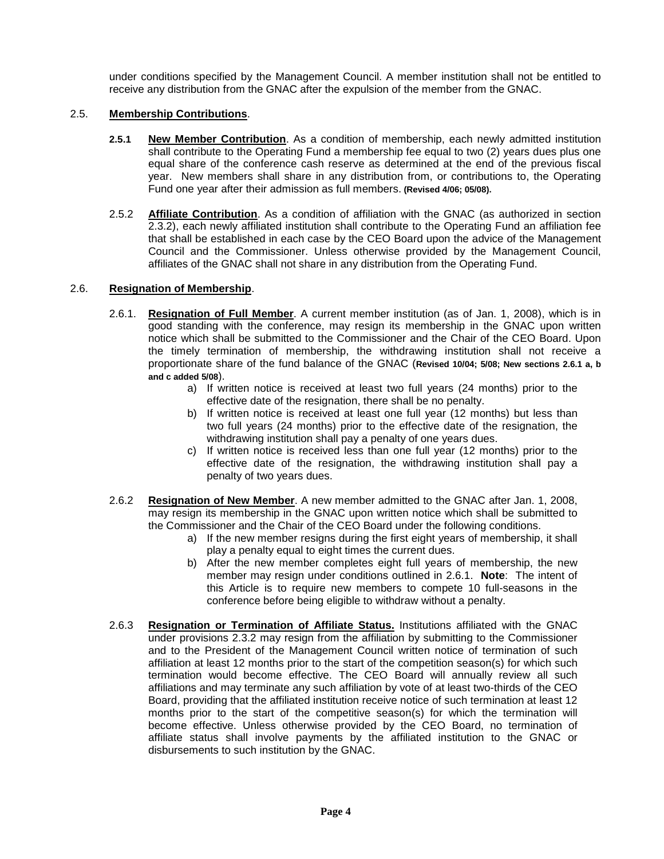under conditions specified by the Management Council. A member institution shall not be entitled to receive any distribution from the GNAC after the expulsion of the member from the GNAC.

## 2.5. **Membership Contributions**.

- **2.5.1 New Member Contribution**. As a condition of membership, each newly admitted institution shall contribute to the Operating Fund a membership fee equal to two (2) years dues plus one equal share of the conference cash reserve as determined at the end of the previous fiscal year. New members shall share in any distribution from, or contributions to, the Operating Fund one year after their admission as full members. **(Revised 4/06; 05/08).**
- 2.5.2 **Affiliate Contribution**. As a condition of affiliation with the GNAC (as authorized in section 2.3.2), each newly affiliated institution shall contribute to the Operating Fund an affiliation fee that shall be established in each case by the CEO Board upon the advice of the Management Council and the Commissioner. Unless otherwise provided by the Management Council, affiliates of the GNAC shall not share in any distribution from the Operating Fund.

## 2.6. **Resignation of Membership**.

- 2.6.1. **Resignation of Full Member**. A current member institution (as of Jan. 1, 2008), which is in good standing with the conference, may resign its membership in the GNAC upon written notice which shall be submitted to the Commissioner and the Chair of the CEO Board. Upon the timely termination of membership, the withdrawing institution shall not receive a proportionate share of the fund balance of the GNAC (**Revised 10/04; 5/08; New sections 2.6.1 a, b and c added 5/08**).
	- a) If written notice is received at least two full years (24 months) prior to the effective date of the resignation, there shall be no penalty.
	- b) If written notice is received at least one full year (12 months) but less than two full years (24 months) prior to the effective date of the resignation, the withdrawing institution shall pay a penalty of one years dues.
	- c) If written notice is received less than one full year (12 months) prior to the effective date of the resignation, the withdrawing institution shall pay a penalty of two years dues.
- 2.6.2 **Resignation of New Member**. A new member admitted to the GNAC after Jan. 1, 2008, may resign its membership in the GNAC upon written notice which shall be submitted to the Commissioner and the Chair of the CEO Board under the following conditions.
	- a) If the new member resigns during the first eight years of membership, it shall play a penalty equal to eight times the current dues.
	- b) After the new member completes eight full years of membership, the new member may resign under conditions outlined in 2.6.1. **Note**: The intent of this Article is to require new members to compete 10 full-seasons in the conference before being eligible to withdraw without a penalty.
- 2.6.3 **Resignation or Termination of Affiliate Status.** Institutions affiliated with the GNAC under provisions 2.3.2 may resign from the affiliation by submitting to the Commissioner and to the President of the Management Council written notice of termination of such affiliation at least 12 months prior to the start of the competition season(s) for which such termination would become effective. The CEO Board will annually review all such affiliations and may terminate any such affiliation by vote of at least two-thirds of the CEO Board, providing that the affiliated institution receive notice of such termination at least 12 months prior to the start of the competitive season(s) for which the termination will become effective. Unless otherwise provided by the CEO Board, no termination of affiliate status shall involve payments by the affiliated institution to the GNAC or disbursements to such institution by the GNAC.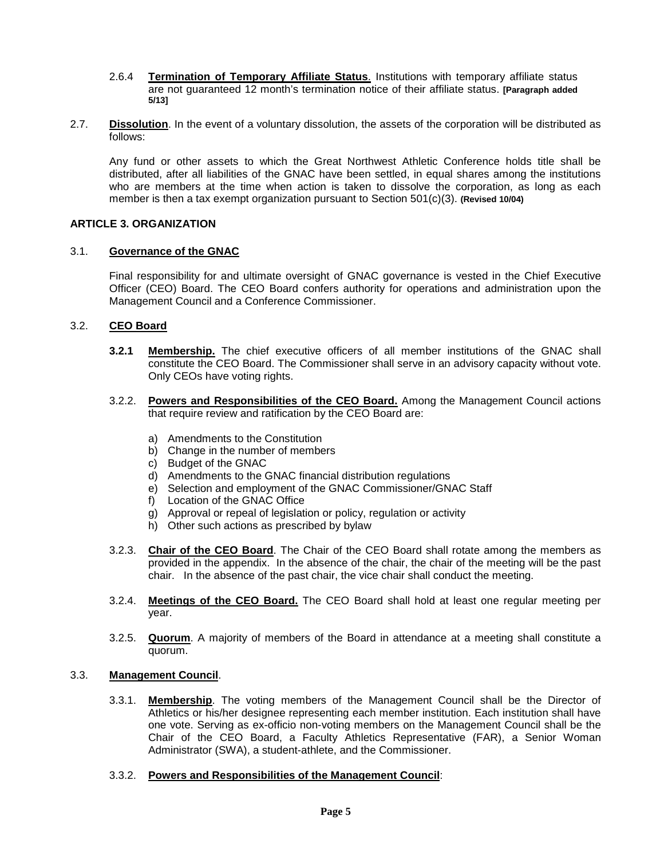- 2.6.4 **Termination of Temporary Affiliate Status**. Institutions with temporary affiliate status are not guaranteed 12 month's termination notice of their affiliate status. **[Paragraph added 5/13]**
- 2.7. **Dissolution**. In the event of a voluntary dissolution, the assets of the corporation will be distributed as follows:

Any fund or other assets to which the Great Northwest Athletic Conference holds title shall be distributed, after all liabilities of the GNAC have been settled, in equal shares among the institutions who are members at the time when action is taken to dissolve the corporation, as long as each member is then a tax exempt organization pursuant to Section 501(c)(3). **(Revised 10/04)**

## **ARTICLE 3. ORGANIZATION**

## 3.1. **Governance of the GNAC**

Final responsibility for and ultimate oversight of GNAC governance is vested in the Chief Executive Officer (CEO) Board. The CEO Board confers authority for operations and administration upon the Management Council and a Conference Commissioner.

## 3.2. **CEO Board**

- **3.2.1 Membership.** The chief executive officers of all member institutions of the GNAC shall constitute the CEO Board. The Commissioner shall serve in an advisory capacity without vote. Only CEOs have voting rights.
- 3.2.2. **Powers and Responsibilities of the CEO Board.** Among the Management Council actions that require review and ratification by the CEO Board are:
	- a) Amendments to the Constitution
	- b) Change in the number of members
	- c) Budget of the GNAC
	- d) Amendments to the GNAC financial distribution regulations
	- e) Selection and employment of the GNAC Commissioner/GNAC Staff
	- f) Location of the GNAC Office
	- g) Approval or repeal of legislation or policy, regulation or activity
	- h) Other such actions as prescribed by bylaw
- 3.2.3. **Chair of the CEO Board**. The Chair of the CEO Board shall rotate among the members as provided in the appendix. In the absence of the chair, the chair of the meeting will be the past chair. In the absence of the past chair, the vice chair shall conduct the meeting.
- 3.2.4. **Meetings of the CEO Board.** The CEO Board shall hold at least one regular meeting per year.
- 3.2.5. **Quorum**. A majority of members of the Board in attendance at a meeting shall constitute a quorum.

#### 3.3. **Management Council**.

3.3.1. **Membership**. The voting members of the Management Council shall be the Director of Athletics or his/her designee representing each member institution. Each institution shall have one vote. Serving as ex-officio non-voting members on the Management Council shall be the Chair of the CEO Board, a Faculty Athletics Representative (FAR), a Senior Woman Administrator (SWA), a student-athlete, and the Commissioner.

#### 3.3.2. **Powers and Responsibilities of the Management Council**: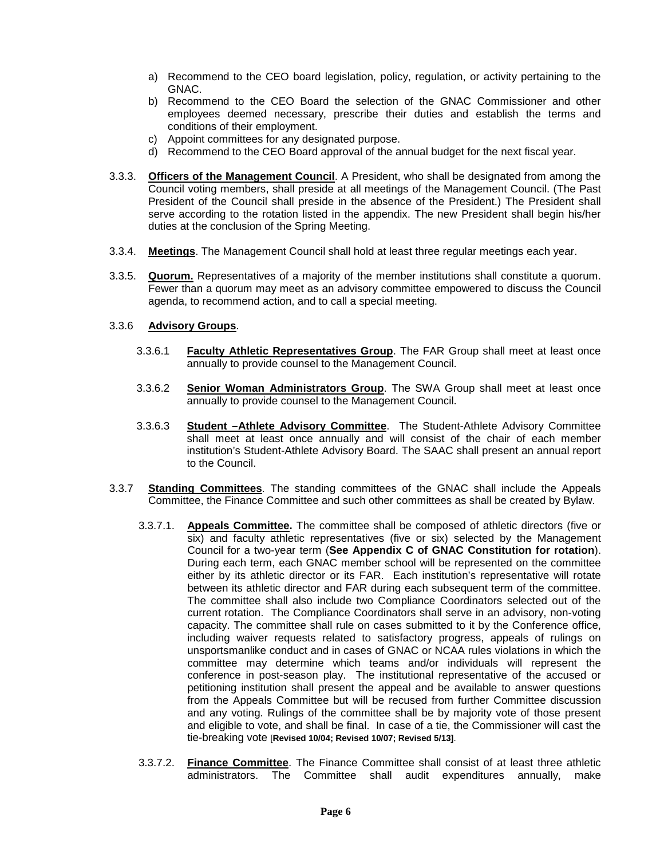- a) Recommend to the CEO board legislation, policy, regulation, or activity pertaining to the GNAC.
- b) Recommend to the CEO Board the selection of the GNAC Commissioner and other employees deemed necessary, prescribe their duties and establish the terms and conditions of their employment.
- c) Appoint committees for any designated purpose.
- d) Recommend to the CEO Board approval of the annual budget for the next fiscal year.
- 3.3.3. **Officers of the Management Council**. A President, who shall be designated from among the Council voting members, shall preside at all meetings of the Management Council. (The Past President of the Council shall preside in the absence of the President.) The President shall serve according to the rotation listed in the appendix. The new President shall begin his/her duties at the conclusion of the Spring Meeting.
- 3.3.4. **Meetings**. The Management Council shall hold at least three regular meetings each year.
- 3.3.5. **Quorum.** Representatives of a majority of the member institutions shall constitute a quorum. Fewer than a quorum may meet as an advisory committee empowered to discuss the Council agenda, to recommend action, and to call a special meeting.

## 3.3.6 **Advisory Groups**.

- 3.3.6.1 **Faculty Athletic Representatives Group**. The FAR Group shall meet at least once annually to provide counsel to the Management Council.
- 3.3.6.2 **Senior Woman Administrators Group**. The SWA Group shall meet at least once annually to provide counsel to the Management Council.
- 3.3.6.3 **Student –Athlete Advisory Committee**. The Student-Athlete Advisory Committee shall meet at least once annually and will consist of the chair of each member institution's Student-Athlete Advisory Board. The SAAC shall present an annual report to the Council.
- 3.3.7 **Standing Committees**. The standing committees of the GNAC shall include the Appeals Committee, the Finance Committee and such other committees as shall be created by Bylaw.
	- 3.3.7.1. **Appeals Committee.** The committee shall be composed of athletic directors (five or six) and faculty athletic representatives (five or six) selected by the Management Council for a two-year term (**See Appendix C of GNAC Constitution for rotation**). During each term, each GNAC member school will be represented on the committee either by its athletic director or its FAR. Each institution's representative will rotate between its athletic director and FAR during each subsequent term of the committee. The committee shall also include two Compliance Coordinators selected out of the current rotation. The Compliance Coordinators shall serve in an advisory, non-voting capacity. The committee shall rule on cases submitted to it by the Conference office, including waiver requests related to satisfactory progress, appeals of rulings on unsportsmanlike conduct and in cases of GNAC or NCAA rules violations in which the committee may determine which teams and/or individuals will represent the conference in post-season play. The institutional representative of the accused or petitioning institution shall present the appeal and be available to answer questions from the Appeals Committee but will be recused from further Committee discussion and any voting. Rulings of the committee shall be by majority vote of those present and eligible to vote, and shall be final. In case of a tie, the Commissioner will cast the tie-breaking vote [**Revised 10/04; Revised 10/07; Revised 5/13]**.
	- 3.3.7.2. **Finance Committee**. The Finance Committee shall consist of at least three athletic administrators. The Committee shall audit expenditures annually, make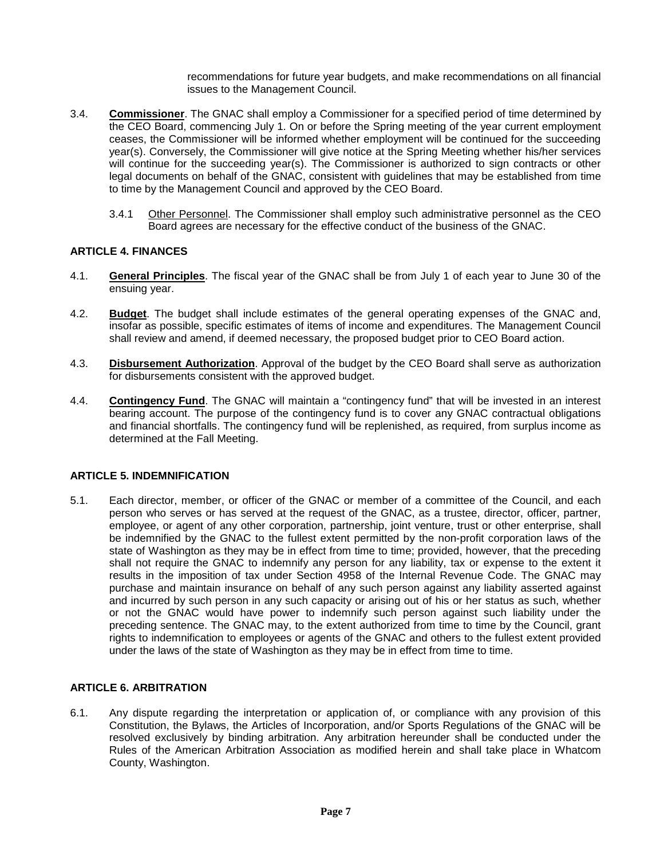recommendations for future year budgets, and make recommendations on all financial issues to the Management Council.

- 3.4. **Commissioner**. The GNAC shall employ a Commissioner for a specified period of time determined by the CEO Board, commencing July 1. On or before the Spring meeting of the year current employment ceases, the Commissioner will be informed whether employment will be continued for the succeeding year(s). Conversely, the Commissioner will give notice at the Spring Meeting whether his/her services will continue for the succeeding year(s). The Commissioner is authorized to sign contracts or other legal documents on behalf of the GNAC, consistent with guidelines that may be established from time to time by the Management Council and approved by the CEO Board.
	- 3.4.1 Other Personnel. The Commissioner shall employ such administrative personnel as the CEO Board agrees are necessary for the effective conduct of the business of the GNAC.

## **ARTICLE 4. FINANCES**

- 4.1. **General Principles**. The fiscal year of the GNAC shall be from July 1 of each year to June 30 of the ensuing year.
- 4.2. **Budget**. The budget shall include estimates of the general operating expenses of the GNAC and, insofar as possible, specific estimates of items of income and expenditures. The Management Council shall review and amend, if deemed necessary, the proposed budget prior to CEO Board action.
- 4.3. **Disbursement Authorization**. Approval of the budget by the CEO Board shall serve as authorization for disbursements consistent with the approved budget.
- 4.4. **Contingency Fund**. The GNAC will maintain a "contingency fund" that will be invested in an interest bearing account. The purpose of the contingency fund is to cover any GNAC contractual obligations and financial shortfalls. The contingency fund will be replenished, as required, from surplus income as determined at the Fall Meeting.

#### **ARTICLE 5. INDEMNIFICATION**

5.1. Each director, member, or officer of the GNAC or member of a committee of the Council, and each person who serves or has served at the request of the GNAC, as a trustee, director, officer, partner, employee, or agent of any other corporation, partnership, joint venture, trust or other enterprise, shall be indemnified by the GNAC to the fullest extent permitted by the non-profit corporation laws of the state of Washington as they may be in effect from time to time; provided, however, that the preceding shall not require the GNAC to indemnify any person for any liability, tax or expense to the extent it results in the imposition of tax under Section 4958 of the Internal Revenue Code. The GNAC may purchase and maintain insurance on behalf of any such person against any liability asserted against and incurred by such person in any such capacity or arising out of his or her status as such, whether or not the GNAC would have power to indemnify such person against such liability under the preceding sentence. The GNAC may, to the extent authorized from time to time by the Council, grant rights to indemnification to employees or agents of the GNAC and others to the fullest extent provided under the laws of the state of Washington as they may be in effect from time to time.

## **ARTICLE 6. ARBITRATION**

6.1. Any dispute regarding the interpretation or application of, or compliance with any provision of this Constitution, the Bylaws, the Articles of Incorporation, and/or Sports Regulations of the GNAC will be resolved exclusively by binding arbitration. Any arbitration hereunder shall be conducted under the Rules of the American Arbitration Association as modified herein and shall take place in Whatcom County, Washington.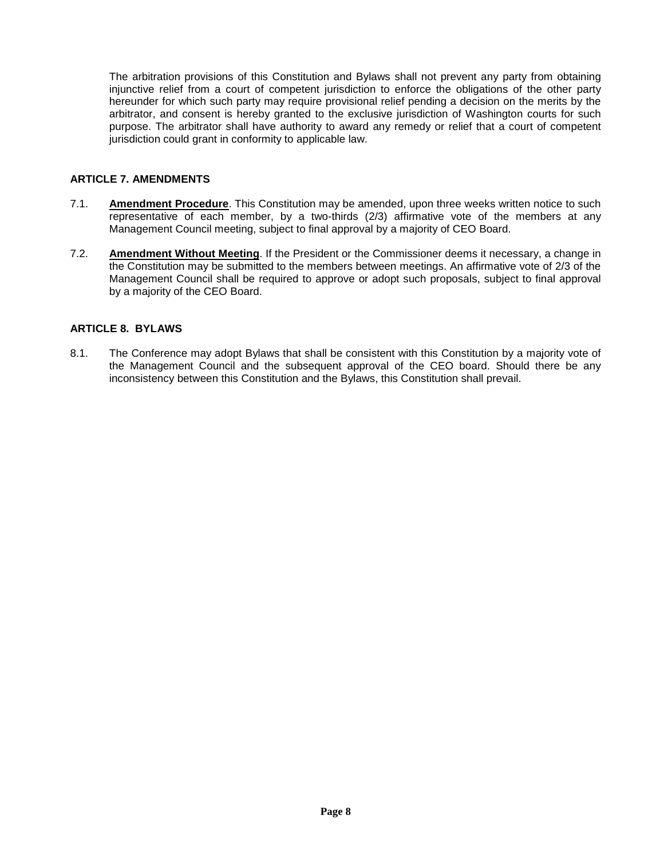The arbitration provisions of this Constitution and Bylaws shall not prevent any party from obtaining injunctive relief from a court of competent jurisdiction to enforce the obligations of the other party hereunder for which such party may require provisional relief pending a decision on the merits by the arbitrator, and consent is hereby granted to the exclusive jurisdiction of Washington courts for such purpose. The arbitrator shall have authority to award any remedy or relief that a court of competent jurisdiction could grant in conformity to applicable law.

## **ARTICLE 7. AMENDMENTS**

- 7.1. **Amendment Procedure**. This Constitution may be amended, upon three weeks written notice to such representative of each member, by a two-thirds (2/3) affirmative vote of the members at any Management Council meeting, subject to final approval by a majority of CEO Board.
- 7.2. **Amendment Without Meeting**. If the President or the Commissioner deems it necessary, a change in the Constitution may be submitted to the members between meetings. An affirmative vote of 2/3 of the Management Council shall be required to approve or adopt such proposals, subject to final approval by a majority of the CEO Board.

## **ARTICLE 8. BYLAWS**

8.1. The Conference may adopt Bylaws that shall be consistent with this Constitution by a majority vote of the Management Council and the subsequent approval of the CEO board. Should there be any inconsistency between this Constitution and the Bylaws, this Constitution shall prevail.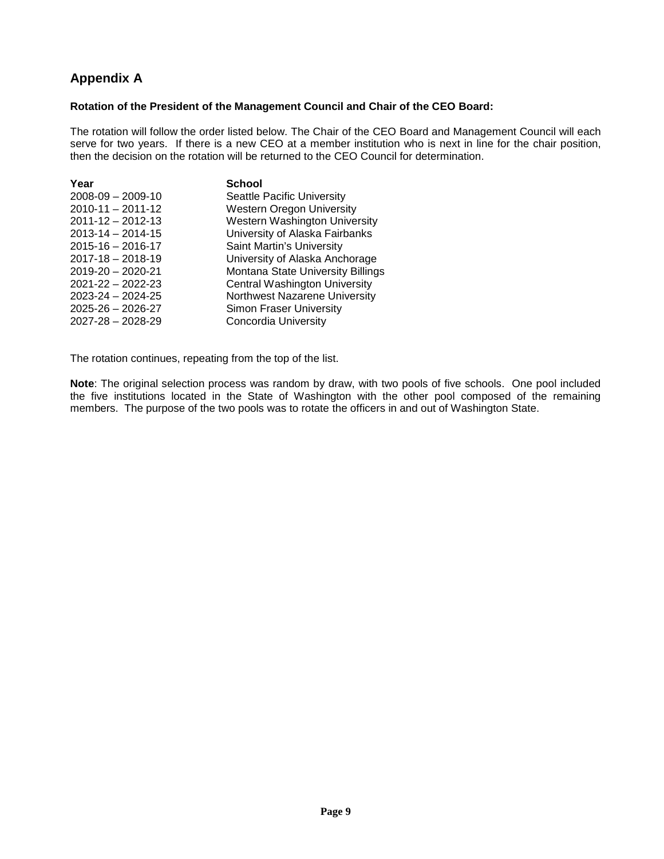## **Appendix A**

#### **Rotation of the President of the Management Council and Chair of the CEO Board:**

The rotation will follow the order listed below. The Chair of the CEO Board and Management Council will each serve for two years. If there is a new CEO at a member institution who is next in line for the chair position, then the decision on the rotation will be returned to the CEO Council for determination.

| Year                    | <b>School</b>                        |
|-------------------------|--------------------------------------|
| $2008 - 09 - 2009 - 10$ | Seattle Pacific University           |
| $2010 - 11 - 2011 - 12$ | <b>Western Oregon University</b>     |
| $2011 - 12 - 2012 - 13$ | Western Washington University        |
| $2013 - 14 - 2014 - 15$ | University of Alaska Fairbanks       |
| $2015 - 16 - 2016 - 17$ | Saint Martin's University            |
| $2017 - 18 - 2018 - 19$ | University of Alaska Anchorage       |
| $2019 - 20 - 2020 - 21$ | Montana State University Billings    |
| $2021 - 22 - 2022 - 23$ | <b>Central Washington University</b> |
| $2023 - 24 - 2024 - 25$ | Northwest Nazarene University        |
| $2025 - 26 - 2026 - 27$ | <b>Simon Fraser University</b>       |
| $2027 - 28 - 2028 - 29$ | Concordia University                 |

The rotation continues, repeating from the top of the list.

**Note**: The original selection process was random by draw, with two pools of five schools. One pool included the five institutions located in the State of Washington with the other pool composed of the remaining members. The purpose of the two pools was to rotate the officers in and out of Washington State.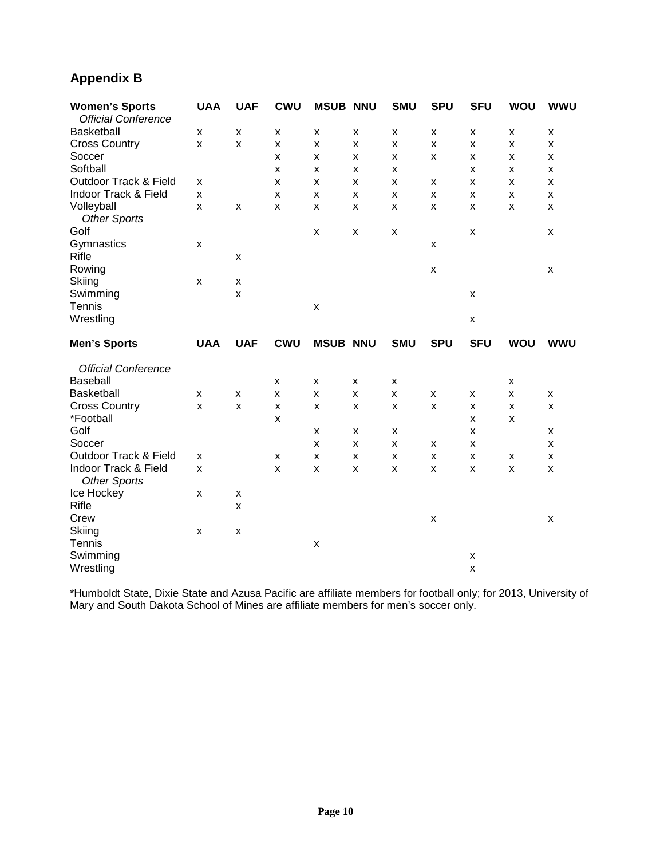## **Appendix B**

| <b>Women's Sports</b><br><b>Official Conference</b>                             | <b>UAA</b> | <b>UAF</b>         | <b>CWU</b>     | <b>MSUB NNU</b>     |        | <b>SMU</b>                               | <b>SPU</b>                     | <b>SFU</b>          | WOU                 | <b>WWU</b>         |
|---------------------------------------------------------------------------------|------------|--------------------|----------------|---------------------|--------|------------------------------------------|--------------------------------|---------------------|---------------------|--------------------|
| Basketball                                                                      | x          | x                  | X              | X                   | X      | x                                        | X                              | X                   | x                   | X                  |
| <b>Cross Country</b>                                                            | X          | X                  | $\pmb{\times}$ | X                   | X      | X                                        | $\pmb{\times}$                 | $\pmb{\mathsf{x}}$  | X                   | Χ                  |
| Soccer                                                                          |            |                    | X              | X                   | x      | X                                        | X                              | X                   | X                   | X                  |
| Softball                                                                        |            |                    | $\pmb{\times}$ | $\pmb{\mathsf{X}}$  | Χ      | $\pmb{\mathsf{x}}$                       |                                | X                   | $\pmb{\mathsf{X}}$  | $\pmb{\mathsf{X}}$ |
| <b>Outdoor Track &amp; Field</b>                                                | X          |                    | $\pmb{\times}$ | X                   | X      | $\pmb{\mathsf{x}}$                       | X                              | X                   | $\pmb{\times}$      | $\pmb{\times}$     |
| Indoor Track & Field                                                            | X          |                    | X              | X                   | x      | X                                        | $\mathsf{x}$                   | $\mathsf{x}$        | X                   | X                  |
| Volleyball<br><b>Other Sports</b>                                               | X          | X                  | $\pmb{\times}$ | x                   | x      | X                                        | X                              | X                   | $\pmb{\times}$      | X                  |
| Golf                                                                            |            |                    |                | X                   | X      | $\pmb{\chi}$                             |                                | $\pmb{\mathsf{X}}$  |                     | $\pmb{\mathsf{x}}$ |
| Gymnastics                                                                      | X          |                    |                |                     |        |                                          | $\pmb{\chi}$                   |                     |                     |                    |
| Rifle                                                                           |            | X                  |                |                     |        |                                          |                                |                     |                     |                    |
| Rowing                                                                          |            |                    |                |                     |        |                                          | $\mathsf{x}$                   |                     |                     | X                  |
| Skiing                                                                          | X          | X                  |                |                     |        |                                          |                                |                     |                     |                    |
| Swimming                                                                        |            | $\mathsf{x}$       |                |                     |        |                                          |                                | X                   |                     |                    |
| Tennis                                                                          |            |                    |                | X                   |        |                                          |                                |                     |                     |                    |
| Wrestling                                                                       |            |                    |                |                     |        |                                          |                                | X                   |                     |                    |
|                                                                                 |            |                    |                |                     |        |                                          |                                |                     |                     |                    |
| <b>Men's Sports</b>                                                             | <b>UAA</b> | <b>UAF</b>         | <b>CWU</b>     | <b>MSUB NNU</b>     |        | <b>SMU</b>                               | <b>SPU</b>                     | <b>SFU</b>          | WOU                 | <b>WWU</b>         |
|                                                                                 |            |                    |                |                     |        |                                          |                                |                     |                     |                    |
| <b>Official Conference</b>                                                      |            |                    |                |                     |        |                                          |                                |                     |                     |                    |
| <b>Baseball</b>                                                                 |            |                    | X              | Χ                   | X      | X                                        |                                |                     | X                   |                    |
| Basketball                                                                      | X          | X                  | X              | X                   | X      | X                                        | $\pmb{\mathsf{x}}$             | X                   | X                   | X                  |
| <b>Cross Country</b>                                                            | x          | X                  | $\pmb{\chi}$   | $\pmb{\times}$      | x      | $\pmb{\chi}$                             | $\pmb{\chi}$                   | $\pmb{\chi}$        | $\pmb{\times}$      | $\pmb{\times}$     |
| *Football                                                                       |            |                    | X              |                     |        |                                          |                                | X                   | X                   |                    |
| Golf                                                                            |            |                    |                | x                   | X      | x                                        |                                | X                   |                     | X                  |
| Soccer                                                                          |            |                    |                | $\pmb{\times}$      | Χ      | $\pmb{\times}$                           | $\pmb{\mathsf{x}}$             | $\pmb{\mathsf{x}}$  |                     | X                  |
| <b>Outdoor Track &amp; Field</b><br>Indoor Track & Field<br><b>Other Sports</b> | X<br>X     |                    | X<br>X         | X<br>$\pmb{\times}$ | X<br>X | $\pmb{\mathsf{x}}$<br>$\pmb{\mathsf{x}}$ | X<br>$\boldsymbol{\mathsf{X}}$ | X<br>$\pmb{\times}$ | X<br>$\pmb{\times}$ | X<br>X             |
| Ice Hockey                                                                      | x          | X                  |                |                     |        |                                          |                                |                     |                     |                    |
| Rifle                                                                           |            | $\pmb{\mathsf{x}}$ |                |                     |        |                                          |                                |                     |                     |                    |
| Crew                                                                            |            |                    |                |                     |        |                                          | $\pmb{\mathsf{X}}$             |                     |                     | X                  |
| Skiing                                                                          | X          | X                  |                |                     |        |                                          |                                |                     |                     |                    |
| Tennis                                                                          |            |                    |                | X                   |        |                                          |                                |                     |                     |                    |
| Swimming<br>Wrestling                                                           |            |                    |                |                     |        |                                          |                                | X                   |                     |                    |

\*Humboldt State, Dixie State and Azusa Pacific are affiliate members for football only; for 2013, University of Mary and South Dakota School of Mines are affiliate members for men's soccer only.